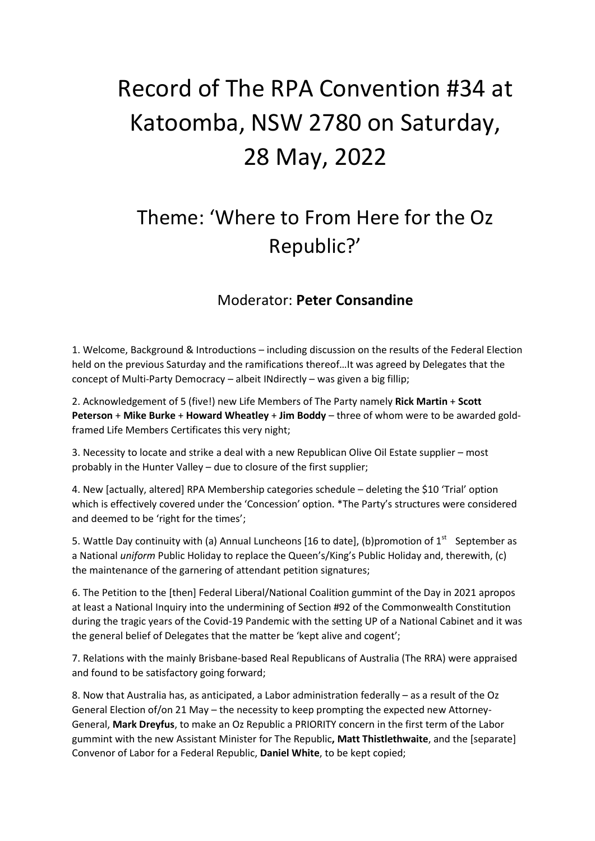## Record of The RPA Convention #34 at Katoomba, NSW 2780 on Saturday, 28 May, 2022

## Theme: 'Where to From Here for the Oz Republic?'

## Moderator: **Peter Consandine**

1. Welcome, Background & Introductions – including discussion on the results of the Federal Election held on the previous Saturday and the ramifications thereof…It was agreed by Delegates that the concept of Multi-Party Democracy – albeit INdirectly – was given a big fillip;

2. Acknowledgement of 5 (five!) new Life Members of The Party namely **Rick Martin** + **Scott Peterson** + **Mike Burke** + **Howard Wheatley** + **Jim Boddy** – three of whom were to be awarded goldframed Life Members Certificates this very night;

3. Necessity to locate and strike a deal with a new Republican Olive Oil Estate supplier – most probably in the Hunter Valley – due to closure of the first supplier;

4. New [actually, altered] RPA Membership categories schedule – deleting the \$10 'Trial' option which is effectively covered under the 'Concession' option. \*The Party's structures were considered and deemed to be 'right for the times';

5. Wattle Day continuity with (a) Annual Luncheons [16 to date], (b)promotion of  $1^{st}$  September as a National *uniform* Public Holiday to replace the Queen's/King's Public Holiday and, therewith, (c) the maintenance of the garnering of attendant petition signatures;

6. The Petition to the [then] Federal Liberal/National Coalition gummint of the Day in 2021 apropos at least a National Inquiry into the undermining of Section #92 of the Commonwealth Constitution during the tragic years of the Covid-19 Pandemic with the setting UP of a National Cabinet and it was the general belief of Delegates that the matter be 'kept alive and cogent';

7. Relations with the mainly Brisbane-based Real Republicans of Australia (The RRA) were appraised and found to be satisfactory going forward;

8. Now that Australia has, as anticipated, a Labor administration federally – as a result of the Oz General Election of/on 21 May – the necessity to keep prompting the expected new Attorney-General, **Mark Dreyfus**, to make an Oz Republic a PRIORITY concern in the first term of the Labor gummint with the new Assistant Minister for The Republic**, Matt Thistlethwaite**, and the [separate] Convenor of Labor for a Federal Republic, **Daniel White**, to be kept copied;